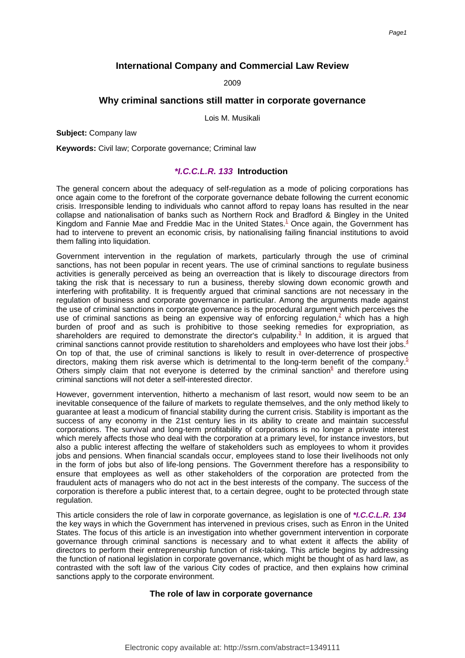# **International Company and Commercial Law Review**

2009

# **Why criminal sanctions still matter in corporate governance**

Lois M. Musikali

**Subject:** Company law

**Keywords:** Civil law; Corporate governance; Criminal law

# **\*I.C.C.L.R. 133 Introduction**

The general concern about the adequacy of self-regulation as a mode of policing corporations has once again come to the forefront of the corporate governance debate following the current economic crisis. Irresponsible lending to individuals who cannot afford to repay loans has resulted in the near collapse and nationalisation of banks such as Northern Rock and Bradford & Bingley in the United Kingdom and Fannie Mae and Freddie Mac in the United State[s.](#page-6-0)<sup>1</sup> Once again, the Government has had to intervene to prevent an economic crisis, by nationalising failing financial institutions to avoid them falling into liquidation.

Government intervention in the regulation of markets, particularly through the use of criminal sanctions, has not been popular in recent years. The use of criminal sanctions to regulate business activities is generally perceived as being an overreaction that is likely to discourage directors from taking the risk that is necessary to run a business, thereby slowing down economic growth and interfering with profitability. It is frequently argued that criminal sanctions are not necessary in the regulation of business and corporate governance in particular. Among the arguments made against the use of criminal sanctions in corporate governance is the procedural argument which perceives the use of criminal sanctions as being an expensive way of enforcing regulation.<sup>2</sup> which has a high burden of proof and as such is prohibitive to those seeking remedies for expropriation, as shareholders are required to demonstrate the director's culpabilit[y.](#page-6-2)<sup>3</sup> In addition, it is argued that criminal sanctions cannot provide restitution to shareholders and employees who have lost their jobs[.](#page-6-3) $4$ On top of that, the use of criminal sanctions is likely to result in over-deterrence of prospective directors, making them risk averse which is detrimental to the long-term benefit of the company[.](#page-6-4)<sup>5</sup> Others simply claim that [n](#page-6-5)ot everyone is deterred by the criminal sanction $6$  and therefore using criminal sanctions will not deter a self-interested director.

However, government intervention, hitherto a mechanism of last resort, would now seem to be an inevitable consequence of the failure of markets to regulate themselves, and the only method likely to guarantee at least a modicum of financial stability during the current crisis. Stability is important as the success of any economy in the 21st century lies in its ability to create and maintain successful corporations. The survival and long-term profitability of corporations is no longer a private interest which merely affects those who deal with the corporation at a primary level, for instance investors, but also a public interest affecting the welfare of stakeholders such as employees to whom it provides jobs and pensions. When financial scandals occur, employees stand to lose their livelihoods not only in the form of jobs but also of life-long pensions. The Government therefore has a responsibility to ensure that employees as well as other stakeholders of the corporation are protected from the fraudulent acts of managers who do not act in the best interests of the company. The success of the corporation is therefore a public interest that, to a certain degree, ought to be protected through state regulation.

This article considers the role of law in corporate governance, as legislation is one of **\*I.C.C.L.R. 134** the key ways in which the Government has intervened in previous crises, such as Enron in the United States. The focus of this article is an investigation into whether government intervention in corporate governance through criminal sanctions is necessary and to what extent it affects the ability of directors to perform their entrepreneurship function of risk-taking. This article begins by addressing the function of national legislation in corporate governance, which might be thought of as hard law, as contrasted with the soft law of the various City codes of practice, and then explains how criminal sanctions apply to the corporate environment.

## **The role of law in corporate governance**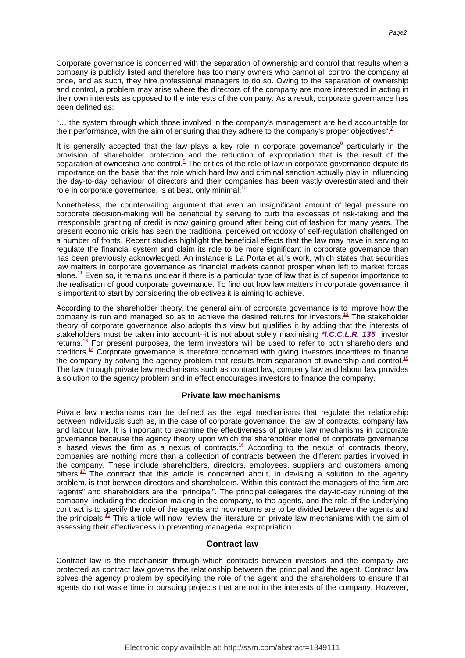Corporate governance is concerned with the separation of ownership and control that results when a company is publicly listed and therefore has too many owners who cannot all control the company at once, and as such, they hire professional managers to do so. Owing to the separation of ownership and control, a problem may arise where the directors of the company are more interested in acting in their own interests as opposed to the interests of the company. As a result, corporate governance has been defined as:

"… the system through which those involved in the company's management are held accountable for their performance, with the aim of ensuring that they adhere to the company's proper objectives"[.](#page-6-6)<sup>7</sup>

It is g[e](#page-6-7)nerally accepted that the law plays a key role in corporate governance<sup>8</sup> particularly in the provision of shareholder protection and the reduction of expropriation that is the result of the separation of ownership and contro[l.](#page-6-8)<sup>9</sup> The critics of the role of law in corporate governance dispute its importance on the basis that the role which hard law and criminal sanction actually play in influencing the day-to-day behaviour of directors and their companies has been vastly overestimated and their role in corporate governance, is at best, only minimal[.](#page-6-9) $10$ 

Nonetheless, the countervailing argument that even an insignificant amount of legal pressure on corporate decision-making will be beneficial by serving to curb the excesses of risk-taking and the irresponsible granting of credit is now gaining ground after being out of fashion for many years. The present economic crisis has seen the traditional perceived orthodoxy of self-regulation challenged on a number of fronts. Recent studies highlight the beneficial effects that the law may have in serving to regulate the financial system and claim its role to be more significant in corporate governance than has been previously acknowledged. An instance is La Porta et al.'s work, which states that securities law matters in corporate governance as financial markets cannot prosper when left to market forces alone. $<sup>11</sup>$  $<sup>11</sup>$  $<sup>11</sup>$  Even so, it remains unclear if there is a particular type of law that is of superior importance to</sup> the realisation of good corporate governance. To find out how law matters in corporate governance, it is important to start by considering the objectives it is aiming to achieve.

According to the shareholder theory, the general aim of corporate governance is to improve how the company is run and managed so as to achieve the desired returns for investors[.](#page-7-1)<sup>12</sup> The stakeholder theory of corporate governance also adopts this view but qualifies it by adding that the interests of stakeholders must be taken into account--it is not about solely maximising **\*I.C.C.L.R. 135** investor returns.<sup>[13](#page-7-2)</sup> For present purposes, the term investors will be used to refer to both shareholders and creditors.<sup>[14](#page-7-3)</sup> Corporate governance is therefore concerned with giving investors incentives to finance the company by solving the agency problem that results from separation of ownership and contro[l.](#page-7-4)<sup>15</sup> The law through private law mechanisms such as contract law, company law and labour law provides a solution to the agency problem and in effect encourages investors to finance the company.

#### **Private law mechanisms**

Private law mechanisms can be defined as the legal mechanisms that regulate the relationship between individuals such as, in the case of corporate governance, the law of contracts, company law and labour law. It is important to examine the effectiveness of private law mechanisms in corporate governance because the agency theory upon which the shareholder model of corporate governance is based views the firm as a nexus of contract[s.](#page-7-5)<sup>16</sup> According to the nexus of contracts theory, companies are nothing more than a collection of contracts between the different parties involved in the company. These include shareholders, directors, employees, suppliers and customers among others.<sup>[17](#page-7-6)</sup> The contract that this article is concerned about, in devising a solution to the agency problem, is that between directors and shareholders. Within this contract the managers of the firm are "agents" and shareholders are the "principal". The principal delegates the day-to-day running of the company, including the decision-making in the company, to the agents, and the role of the underlying contract is to specify the role of the agents and how returns are to be divided between the agents and the principals[.](#page-7-7)<sup>18</sup> This article will now review the literature on private law mechanisms with the aim of assessing their effectiveness in preventing managerial expropriation.

### **Contract law**

Contract law is the mechanism through which contracts between investors and the company are protected as contract law governs the relationship between the principal and the agent. Contract law solves the agency problem by specifying the role of the agent and the shareholders to ensure that agents do not waste time in pursuing projects that are not in the interests of the company. However,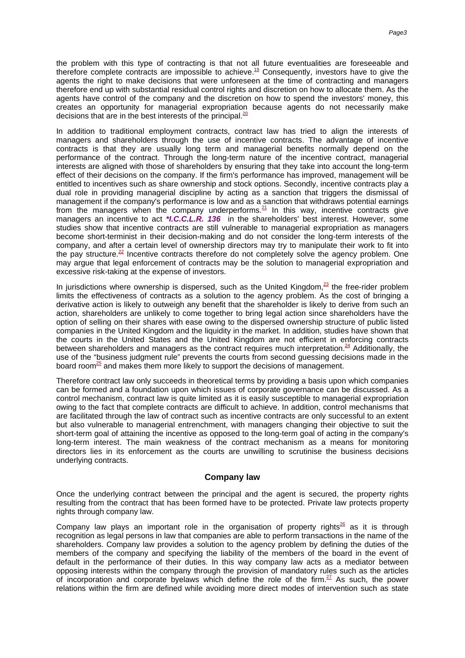the problem with this type of contracting is that not all future eventualities are foreseeable and therefore complete contracts are impossible to achiev[e.](#page-7-8)<sup>19</sup> Consequently, investors have to give the agents the right to make decisions that were unforeseen at the time of contracting and managers therefore end up with substantial residual control rights and discretion on how to allocate them. As the agents have control of the company and the discretion on how to spend the investors' money, this creates an opportunity for managerial expropriation because agents do not necessarily make decisions that are in the best interests of the principal[.](#page-7-9) $20$ 

In addition to traditional employment contracts, contract law has tried to align the interests of managers and shareholders through the use of incentive contracts. The advantage of incentive contracts is that they are usually long term and managerial benefits normally depend on the performance of the contract. Through the long-term nature of the incentive contract, managerial interests are aligned with those of shareholders by ensuring that they take into account the long-term effect of their decisions on the company. If the firm's performance has improved, management will be entitled to incentives such as share ownership and stock options. Secondly, incentive contracts play a dual role in providing managerial discipline by acting as a sanction that triggers the dismissal of management if the company's performance is low and as a sanction that withdraws potential earnings from the managers when the company underperform[s.](#page-7-10) $21$  In this way, incentive contracts give managers an incentive to act **\*I.C.C.L.R. 136** in the shareholders' best interest. However, some studies show that incentive contracts are still vulnerable to managerial expropriation as managers become short-terminist in their decision-making and do not consider the long-term interests of the company, and after a certain level of ownership directors may try to manipulate their work to fit into the pay structure[.](#page-7-11)<sup>22</sup> Incentive contracts therefore do not completely solve the agency problem. One may argue that legal enforcement of contracts may be the solution to managerial expropriation and excessive risk-taking at the expense of investors.

In jurisdictions where ownership is dispersed, such as the United Kingdo[m,](#page-7-12) $^{23}$  the free-rider problem limits the effectiveness of contracts as a solution to the agency problem. As the cost of bringing a derivative action is likely to outweigh any benefit that the shareholder is likely to derive from such an action, shareholders are unlikely to come together to bring legal action since shareholders have the option of selling on their shares with ease owing to the dispersed ownership structure of public listed companies in the United Kingdom and the liquidity in the market. In addition, studies have shown that the courts in the United States and the United Kingdom are not efficient in enforcing contracts between shareholders and managers as the contract requires much interpretation[.](#page-7-13) $24$  Additionally, the use of the "business judgment rule" prevents the courts from second guessing decisions made in the board roo[m](#page-7-14)<sup>25</sup> and makes them more likely to support the decisions of management.

Therefore contract law only succeeds in theoretical terms by providing a basis upon which companies can be formed and a foundation upon which issues of corporate governance can be discussed. As a control mechanism, contract law is quite limited as it is easily susceptible to managerial expropriation owing to the fact that complete contracts are difficult to achieve. In addition, control mechanisms that are facilitated through the law of contract such as incentive contracts are only successful to an extent but also vulnerable to managerial entrenchment, with managers changing their objective to suit the short-term goal of attaining the incentive as opposed to the long-term goal of acting in the company's long-term interest. The main weakness of the contract mechanism as a means for monitoring directors lies in its enforcement as the courts are unwilling to scrutinise the business decisions underlying contracts.

#### **Company law**

Once the underlying contract between the principal and the agent is secured, the property rights resulting from the contract that has been formed have to be protected. Private law protects property rights through company law.

Company law play[s](#page-7-15) an important role in the organisation of property rights<sup>26</sup> as it is through recognition as legal persons in law that companies are able to perform transactions in the name of the shareholders. Company law provides a solution to the agency problem by defining the duties of the members of the company and specifying the liability of the members of the board in the event of default in the performance of their duties. In this way company law acts as a mediator between opposing interests within the company through the provision of mandatory rules such as the articles of incorporation and corporate byelaws which define the role of the firm[.](#page-7-16)<sup>27</sup> As such, the power relations within the firm are defined while avoiding more direct modes of intervention such as state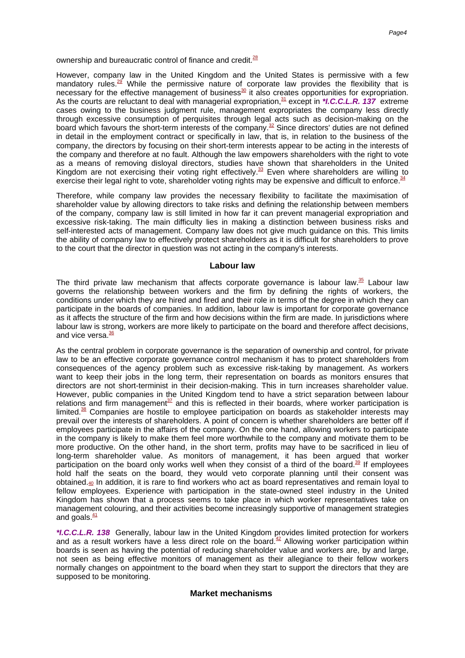ownership and bureaucratic control of finance and credi[t.](#page-7-17)<sup>28</sup>

However, company law in the United Kingdom and the United States is permissive with a few mandatory rules[.](#page-7-18)<sup>29</sup> While the permissive nature of corporate law provides the flexibility that is nece[s](#page-7-19)sary for the effective management of business<sup>30</sup> it also creates opportunities for expropriation. As the courts are reluctant to deal with managerial expropriation[,](#page-7-20)<sup>31</sup> except in \*I.C.C.L.R. 137 extreme cases owing to the business judgment rule, management expropriates the company less directly through excessive consumption of perquisites through legal acts such as decision-making on the board which favours the short-term interests of the compan[y.](#page-7-21)<sup>32</sup> Since directors' duties are not defined in detail in the employment contract or specifically in law, that is, in relation to the business of the company, the directors by focusing on their short-term interests appear to be acting in the interests of the company and therefore at no fault. Although the law empowers shareholders with the right to vote as a means of removing disloyal directors, studies have shown that shareholders in the United Kingdom are not exercising their voting right effectivel[y.](#page-7-22)<sup>33</sup> Even where shareholders are willing to exercise their legal right to vote, shareholder voting rights may be expensive and difficult to enforc[e.](#page-7-23)<sup>34</sup>

Therefore, while company law provides the necessary flexibility to facilitate the maximisation of shareholder value by allowing directors to take risks and defining the relationship between members of the company, company law is still limited in how far it can prevent managerial expropriation and excessive risk-taking. The main difficulty lies in making a distinction between business risks and self-interested acts of management. Company law does not give much guidance on this. This limits the ability of company law to effectively protect shareholders as it is difficult for shareholders to prove to the court that the director in question was not acting in the company's interests.

#### **Labour law**

The third private law mechanism that affects corporate governance is labour la[w.](#page-7-24) $35$  Labour law governs the relationship between workers and the firm by defining the rights of workers, the conditions under which they are hired and fired and their role in terms of the degree in which they can participate in the boards of companies. In addition, labour law is important for corporate governance as it affects the structure of the firm and how decisions within the firm are made. In jurisdictions where labour law is strong, workers are more likely to participate on the board and therefore affect decisions, and vice vers[a.](#page-7-25)<sup>36</sup>

As the central problem in corporate governance is the separation of ownership and control, for private law to be an effective corporate governance control mechanism it has to protect shareholders from consequences of the agency problem such as excessive risk-taking by management. As workers want to keep their jobs in the long term, their representation on boards as monitors ensures that directors are not short-terminist in their decision-making. This in turn increases shareholder value. However, public companies in the United Kingdom tend to have a strict separation between labour relations and firm manageme[nt](#page-7-26) $37$  and this is reflected in their boards, where worker participation is limited.<sup>[38](#page-7-27)</sup> Companies are hostile to employee participation on boards as stakeholder interests may prevail over the interests of shareholders. A point of concern is whether shareholders are better off if employees participate in the affairs of the company. On the one hand, allowing workers to participate in the company is likely to make them feel more worthwhile to the company and motivate them to be more productive. On the other hand, in the short term, profits may have to be sacrificed in lieu of long-term shareholder value. As monitors of management, it has been argued that worker participation on the board only works well when they consist of a third of the board[.](#page-7-28)<sup>39</sup> If employees hold half the seats on the board, they would veto corporate planning until their consent was [ob](#page-7-29)tained.<sup>40</sup> In addition, it is rare to find workers who act as board representatives and remain loyal to fellow employees. Experience with participation in the state-owned steel industry in the United Kingdom has shown that a process seems to take place in which worker representatives take on management colouring, and their activities become increasingly supportive of management strategies and goal[s.](#page-7-30)<sup>41</sup>

**\*I.C.C.L.R. 138** Generally, labour law in the United Kingdom provides limited protection for workers and as a result workers have a less direct role on the boar[d.](#page-7-31)<sup>42</sup> Allowing worker participation within boards is seen as having the potential of reducing shareholder value and workers are, by and large, not seen as being effective monitors of management as their allegiance to their fellow workers normally changes on appointment to the board when they start to support the directors that they are supposed to be monitoring.

## **Market mechanisms**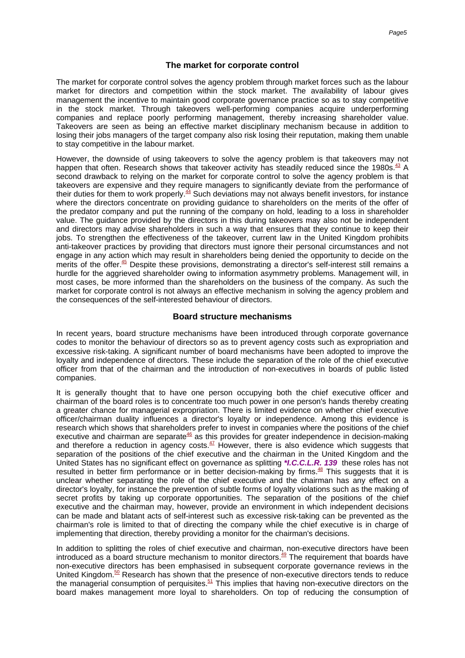### **The market for corporate control**

The market for corporate control solves the agency problem through market forces such as the labour market for directors and competition within the stock market. The availability of labour gives management the incentive to maintain good corporate governance practice so as to stay competitive in the stock market. Through takeovers well-performing companies acquire underperforming companies and replace poorly performing management, thereby increasing shareholder value. Takeovers are seen as being an effective market disciplinary mechanism because in addition to losing their jobs managers of the target company also risk losing their reputation, making them unable to stay competitive in the labour market.

However, the downside of using takeovers to solve the agency problem is that takeovers may not happen that often[.](#page-7-32) Research shows that takeover activity has steadily reduced since the 1980s.<sup>43</sup> A second drawback to relying on the market for corporate control to solve the agency problem is that takeovers are expensive and they require managers to significantly deviate from the performance of their duties for them to work properly[.](#page-7-33) $44$  Such deviations may not always benefit investors, for instance where the directors concentrate on providing guidance to shareholders on the merits of the offer of the predator company and put the running of the company on hold, leading to a loss in shareholder value. The guidance provided by the directors in this during takeovers may also not be independent and directors may advise shareholders in such a way that ensures that they continue to keep their jobs. To strengthen the effectiveness of the takeover, current law in the United Kingdom prohibits anti-takeover practices by providing that directors must ignore their personal circumstances and not engage in any action which may result in shareholders being denied the opportunity to decide on the merits of the offer[.](#page-7-34)<sup>45</sup> Despite these provisions, demonstrating a director's self-interest still remains a hurdle for the aggrieved shareholder owing to information asymmetry problems. Management will, in most cases, be more informed than the shareholders on the business of the company. As such the market for corporate control is not always an effective mechanism in solving the agency problem and the consequences of the self-interested behaviour of directors.

#### **Board structure mechanisms**

In recent years, board structure mechanisms have been introduced through corporate governance codes to monitor the behaviour of directors so as to prevent agency costs such as expropriation and excessive risk-taking. A significant number of board mechanisms have been adopted to improve the loyalty and independence of directors. These include the separation of the role of the chief executive officer from that of the chairman and the introduction of non-executives in boards of public listed companies.

It is generally thought that to have one person occupying both the chief executive officer and chairman of the board roles is to concentrate too much power in one person's hands thereby creating a greater chance for managerial expropriation. There is limited evidence on whether chief executive officer/chairman duality influences a director's loyalty or independence. Among this evidence is research which shows that shareholders prefer to invest in companies where the positions of the chief [e](#page-8-0)xecutive and chairman are separate $46$  as this provides for greater independence in decision-making and therefore a reduction in agency cost[s.](#page-8-1) $47$  However, there is also evidence which suggests that separation of the positions of the chief executive and the chairman in the United Kingdom and the United States has no significant effect on governance as splitting **\*I.C.C.L.R. 139** these roles has not resulted in better firm performance or in better decision-making by firms[.](#page-8-2) $48$  This suggests that it is unclear whether separating the role of the chief executive and the chairman has any effect on a director's loyalty, for instance the prevention of subtle forms of loyalty violations such as the making of secret profits by taking up corporate opportunities. The separation of the positions of the chief executive and the chairman may, however, provide an environment in which independent decisions can be made and blatant acts of self-interest such as excessive risk-taking can be prevented as the chairman's role is limited to that of directing the company while the chief executive is in charge of implementing that direction, thereby providing a monitor for the chairman's decisions.

In addition to splitting the roles of chief executive and chairman, non-executive directors have been introduced as a board structure mechanism to monitor director[s.](#page-8-3)<sup>49</sup> The requirement that boards have non-executive directors has been emphasised in subsequent corporate governance reviews in the United Kingdom[.](#page-8-4)<sup>50</sup> Research has shown that the presence of non-executive directors tends to reduce the managerial consumption of perquisites[.](#page-8-5)<sup>51</sup> This implies that having non-executive directors on the board makes management more loyal to shareholders. On top of reducing the consumption of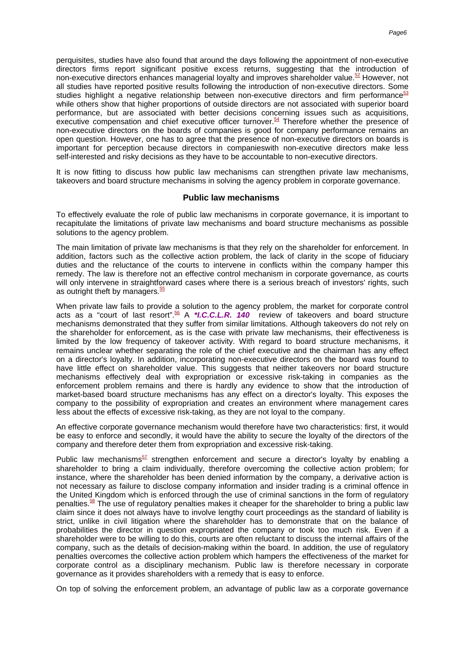perquisites, studies have also found that around the days following the appointment of non-executive directors firms report significant positive excess returns, suggesting that the introduction of non-executive directors enhances managerial loyalty and improves shareholder valu[e.](#page-8-6)<sup>52</sup> However, not all studies have reported positive results following the introduction of non-executive directors. Some studi[e](#page-8-7)s highlight a negative relationship between non-executive directors and firm performance<sup>53</sup> while others show that higher proportions of outside directors are not associated with superior board performance, but are associated with better decisions concerning issues such as acquisitions, executive compensation and chief executive officer turnove[r.](#page-8-8)<sup>54</sup> Therefore whether the presence of non-executive directors on the boards of companies is good for company performance remains an open question. However, one has to agree that the presence of non-executive directors on boards is important for perception because directors in companieswith non-executive directors make less self-interested and risky decisions as they have to be accountable to non-executive directors.

It is now fitting to discuss how public law mechanisms can strengthen private law mechanisms, takeovers and board structure mechanisms in solving the agency problem in corporate governance.

### **Public law mechanisms**

To effectively evaluate the role of public law mechanisms in corporate governance, it is important to recapitulate the limitations of private law mechanisms and board structure mechanisms as possible solutions to the agency problem.

The main limitation of private law mechanisms is that they rely on the shareholder for enforcement. In addition, factors such as the collective action problem, the lack of clarity in the scope of fiduciary duties and the reluctance of the courts to intervene in conflicts within the company hamper this remedy. The law is therefore not an effective control mechanism in corporate governance, as courts will only intervene in straightforward cases where there is a serious breach of investors' rights, such as outright theft by managers[.](#page-8-9)<sup>55</sup>

When private law fails to provide a solution to the agency problem, the market for corporate control acts as a "court of last resort[".](#page-8-10)<sup>56</sup> A \***I.C.C.L.R. 140** review of takeovers and board structure mechanisms demonstrated that they suffer from similar limitations. Although takeovers do not rely on the shareholder for enforcement, as is the case with private law mechanisms, their effectiveness is limited by the low frequency of takeover activity. With regard to board structure mechanisms, it remains unclear whether separating the role of the chief executive and the chairman has any effect on a director's loyalty. In addition, incorporating non-executive directors on the board was found to have little effect on shareholder value. This suggests that neither takeovers nor board structure mechanisms effectively deal with expropriation or excessive risk-taking in companies as the enforcement problem remains and there is hardly any evidence to show that the introduction of market-based board structure mechanisms has any effect on a director's loyalty. This exposes the company to the possibility of expropriation and creates an environment where management cares less about the effects of excessive risk-taking, as they are not loyal to the company.

An effective corporate governance mechanism would therefore have two characteristics: first, it would be easy to enforce and secondly, it would have the ability to secure the loyalty of the directors of the company and therefore deter them from expropriation and excessive risk-taking.

Public law mechani[s](#page-8-11)ms<sup>57</sup> strengthen enforcement and secure a director's loyalty by enabling a shareholder to bring a claim individually, therefore overcoming the collective action problem; for instance, where the shareholder has been denied information by the company, a derivative action is not necessary as failure to disclose company information and insider trading is a criminal offence in the United Kingdom which is enforced through the use of criminal sanctions in the form of regulatory penalties.<sup>[58](#page-8-12)</sup> The use of regulatory penalties makes it cheaper for the shareholder to bring a public law claim since it does not always have to involve lengthy court proceedings as the standard of liability is strict, unlike in civil litigation where the shareholder has to demonstrate that on the balance of probabilities the director in question expropriated the company or took too much risk. Even if a shareholder were to be willing to do this, courts are often reluctant to discuss the internal affairs of the company, such as the details of decision-making within the board. In addition, the use of regulatory penalties overcomes the collective action problem which hampers the effectiveness of the market for corporate control as a disciplinary mechanism. Public law is therefore necessary in corporate governance as it provides shareholders with a remedy that is easy to enforce.

On top of solving the enforcement problem, an advantage of public law as a corporate governance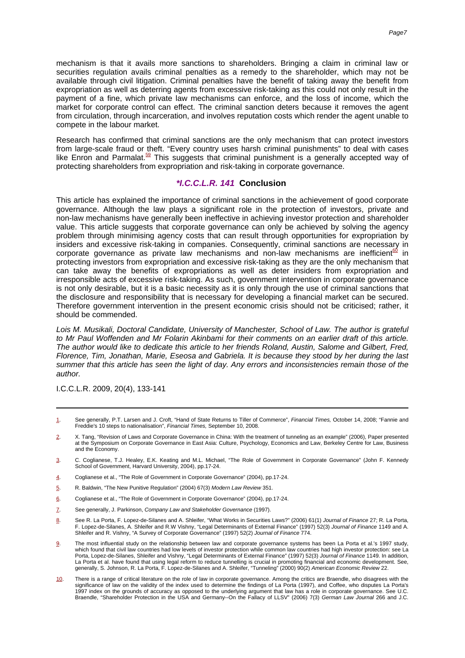mechanism is that it avails more sanctions to shareholders. Bringing a claim in criminal law or securities regulation avails criminal penalties as a remedy to the shareholder, which may not be available through civil litigation. Criminal penalties have the benefit of taking away the benefit from expropriation as well as deterring agents from excessive risk-taking as this could not only result in the payment of a fine, which private law mechanisms can enforce, and the loss of income, which the market for corporate control can effect. The criminal sanction deters because it removes the agent from circulation, through incarceration, and involves reputation costs which render the agent unable to compete in the labour market.

Research has confirmed that criminal sanctions are the only mechanism that can protect investors from large-scale fraud or theft. "Every country uses harsh criminal punishments" to deal with cases like Enron and Parmala[t.](#page-8-13)<sup>59</sup> This suggests that criminal punishment is a generally accepted way of protecting shareholders from expropriation and risk-taking in corporate governance.

# **\*I.C.C.L.R. 141 Conclusion**

This article has explained the importance of criminal sanctions in the achievement of good corporate governance. Although the law plays a significant role in the protection of investors, private and non-law mechanisms have generally been ineffective in achieving investor protection and shareholder value. This article suggests that corporate governance can only be achieved by solving the agency problem through minimising agency costs that can result through opportunities for expropriation by insiders and excessive risk-taking in companies. Consequently, criminal sanctions are necessary in corpora[t](#page-8-14)e governance as private law mechanisms and non-law mechanisms are inefficient<sup>60</sup> in protecting investors from expropriation and excessive risk-taking as they are the only mechanism that can take away the benefits of expropriations as well as deter insiders from expropriation and irresponsible acts of excessive risk-taking. As such, government intervention in corporate governance is not only desirable, but it is a basic necessity as it is only through the use of criminal sanctions that the disclosure and responsibility that is necessary for developing a financial market can be secured. Therefore government intervention in the present economic crisis should not be criticised; rather, it should be commended.

Lois M. Musikali, Doctoral Candidate, University of Manchester, School of Law. The author is grateful to Mr Paul Woffenden and Mr Folarin Akinbami for their comments on an earlier draft of this article. The author would like to dedicate this article to her friends Roland, Austin, Salome and Gilbert, Fred, Florence, Tim, Jonathan, Marie, Eseosa and Gabriela. It is because they stood by her during the last summer that this article has seen the light of day. Any errors and inconsistencies remain those of the author.

I.C.C.L.R. 2009, 20(4), 133-141

- <span id="page-6-3"></span>[4.](#page--1-0) Coglianese et al., "The Role of Government in Corporate Governance" (2004), pp.17-24.
- <span id="page-6-4"></span>[5.](#page--1-0) R. Baldwin, "The New Punitive Regulation" (2004) 67(3) Modern Law Review 351.
- <span id="page-6-5"></span>[6.](#page--1-0) Coglianese et al., "The Role of Government in Corporate Governance" (2004), pp.17-24.
- <span id="page-6-6"></span>[7.](#page--1-0) See generally, J. Parkinson, Company Law and Stakeholder Governance (1997).
- <span id="page-6-7"></span><u>8</u>. See R. La Porta, F. Lopez-de-Silanes and A. Shleifer, "What Works in Securities Laws?" (2006) 61(1) *Journal of Finance* 27; R. La Porta,<br>F. Lopez-de-Silanes, A. Shleifer and R.W Vishny, "Legal Determinants of Externa Shleifer and R. Vishny, "A Survey of Corporate Governance" (1997) 52(2) Journal of Finance 774.
- <span id="page-6-8"></span>[9.](#page--1-0) The most influential study on the relationship between law and corporate governance systems has been La Porta et al.'s 1997 study, which found that civil law countries had low levels of investor protection while common law countries had high investor protection: see La<br>Porta, Lopez-de-Silanes, Shleifer and Vishny, "Legal Determinants of External Finan La Porta et al. have found that using legal reform to reduce tunnelling is crucial in promoting financial and economic development. See,<br>generally, S. Johnson, R. La Porta, F. Lopez-de-Silanes and A. Shleifer, "Tunneling"
- <span id="page-6-9"></span>[10.](#page--1-0) There is a range of critical literature on the role of law in corporate governance. Among the critics are Braendle, who disagrees with the significance of law on the validity of the index used to determine the findings of La Porta (1997), and Coffee, who disputes La Porta's 1997 index on the grounds of accuracy as opposed to the underlying argument that law has a role in corporate governance. See U.C. Braendle, "Shareholder Protection in the USA and Germany--On the Fallacy of LLSV" (2006) 7(3) German Law Journal 266 and J.C.

<span id="page-6-0"></span>[<sup>1.</sup>](#page--1-0) See generally, P.T. Larsen and J. Croft, "Hand of State Returns to Tiller of Commerce", Financial Times, October 14, 2008; "Fannie and Freddie's 10 steps to nationalisation", Financial Times, September 10, 2008.

<span id="page-6-1"></span>[<sup>2.</sup>](#page--1-0) X. Tang, "Revision of Laws and Corporate Governance in China: With the treatment of tunneling as an example" (2006), Paper presented at the Symposium on Corporate Governance in East Asia: Culture, Psychology, Economics and Law, Berkeley Centre for Law, Business and the Economy.

<span id="page-6-2"></span>[<sup>3.</sup>](#page--1-0) C. Coglianese, T.J. Healey, E.K. Keating and M.L. Michael, "The Role of Government in Corporate Governance" (John F. Kennedy School of Government, Harvard University, 2004), pp.17-24.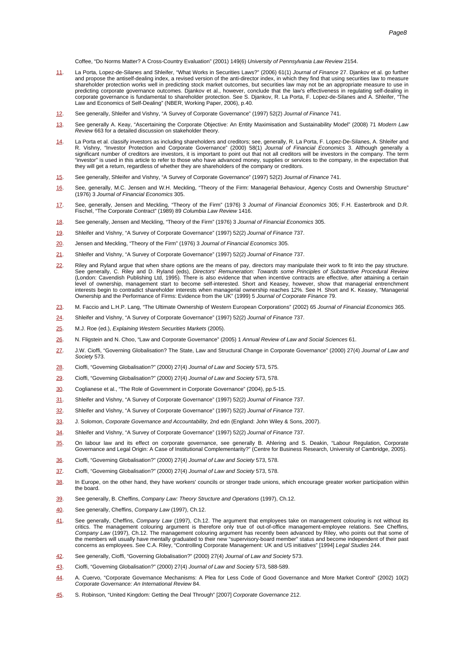Coffee, "Do Norms Matter? A Cross-Country Evaluation" (2001) 149(6) University of Pennsylvania Law Review 2154.

- <span id="page-7-0"></span>[11.](#page--1-0) La Porta, Lopez-de-Silanes and Shleifer, "What Works in Securities Laws?" (2006) 61(1) Journal of Finance 27. Djankov et al. go further and propose the antiself-dealing index, a revised version of the anti-director index, in which they find that using securities law to measure shareholder protection works well in predicting stock market outcomes, but securities law may not be an appropriate measure to use in predicting corporate governance outcomes. Djankov et al., however, conclude that the law's effectiveness in regulating self-dealing in corporate governance is fundamental to shareholder protection. See S. Djankov, R. La Porta, F. Lopez-de-Silanes and A. Shleifer, "The Law and Economics of Self-Dealing" (NBER, Working Paper, 2006), p.40.
- <span id="page-7-1"></span>[12.](#page--1-0) See generally, Shleifer and Vishny, "A Survey of Corporate Governance" (1997) 52(2) Journal of Finance 741.
- <span id="page-7-2"></span>[13.](#page--1-0) See generally A. Keay, "Ascertaining the Corporate Objective: An Entity Maximisation and Sustainability Model" (2008) 71 Modern Law Review 663 for a detailed discussion on stakeholder theory.
- <span id="page-7-3"></span>La Porta et al. classify investors as including shareholders and creditors; see, generally, R. La Porta, F. Lopez-De-Silanes, A. Shleifer and<br>R. Vishny, "Investor Protection and Corporate Governance" (2000) 58(1) *Journal* "investor" is used in this article to refer to those who have advanced money, supplies or services to the company, in the expectation that they will get a return, regardless of whether they are shareholders of the company or creditors.
- <span id="page-7-4"></span>[15.](#page--1-0) See generally, Shleifer and Vishny, "A Survey of Corporate Governance" (1997) 52(2) Journal of Finance 741.
- <span id="page-7-5"></span>[16.](#page--1-0) See, generally, M.C. Jensen and W.H. Meckling, "Theory of the Firm: Managerial Behaviour, Agency Costs and Ownership Structure" (1976) 3 Journal of Financial Economics 305.
- <span id="page-7-6"></span>[17.](#page--1-0) See, generally, Jensen and Meckling, "Theory of the Firm" (1976) 3 Journal of Financial Economics 305; F.H. Easterbrook and D.R.<br>Fischel, "The Corporate Contract" (1989) 89 Columbia Law Review 1416.
- <span id="page-7-7"></span>[18.](#page--1-0) See generally, Jensen and Meckling, "Theory of the Firm" (1976) 3 Journal of Financial Economics 305.
- <span id="page-7-8"></span>[19.](#page--1-0) Shleifer and Vishny, "A Survey of Corporate Governance" (1997) 52(2) Journal of Finance 737.
- <span id="page-7-9"></span>[20.](#page--1-0) Jensen and Meckling, "Theory of the Firm" (1976) 3 Journal of Financial Economics 305.
- <span id="page-7-10"></span>[21.](#page--1-0) Shleifer and Vishny, "A Survey of Corporate Governance" (1997) 52(2) Journal of Finance 737.
- <span id="page-7-11"></span>[22.](#page--1-0) Riley and Ryland argue that when share options are the means of pay, directors may manipulate their work to fit into the pay structure. See generally, C. Riley and D. Ryland (eds), Directors' Remuneration: Towards some Principles of Substantive Procedural Review (London: Cavendish Publishing Ltd, 1995). There is also evidence that when incentive contracts are effective, after attaining a certain level of ownership, management start to become self-interested. Short and Keasey, however, show that managerial entrenchment<br>interests begin to contradict shareholder interests when managerial ownership reaches 12%. See H. Ownership and the Performance of Firms: Evidence from the UK" (1999) 5 Journal of Corporate Finance 79.
- <span id="page-7-12"></span>[23.](#page--1-0) M. Faccio and L.H.P. Lang, "The Ultimate Ownership of Western European Corporations" (2002) 65 Journal of Financial Economics 365.
- <span id="page-7-13"></span>[24.](#page--1-0) Shleifer and Vishny, "A Survey of Corporate Governance" (1997) 52(2) Journal of Finance 737.
- <span id="page-7-14"></span>[25.](#page--1-0) M.J. Roe (ed.), Explaining Western Securities Markets (2005).
- <span id="page-7-15"></span>[26.](#page--1-0) N. Fligstein and N. Choo, "Law and Corporate Governance" (2005) 1 Annual Review of Law and Social Sciences 61.
- <span id="page-7-16"></span>[27.](#page--1-0) J.W. Cioffi, "Governing Globalisation? The State, Law and Structural Change in Corporate Governance" (2000) 27(4) Journal of Law and Society 573.
- <span id="page-7-17"></span>[28.](#page--1-0) Cioffi, "Governing Globalisation?" (2000) 27(4) Journal of Law and Society 573, 575.
- <span id="page-7-18"></span>[29.](#page--1-0) Cioffi, "Governing Globalisation?" (2000) 27(4) Journal of Law and Society 573, 578.
- <span id="page-7-19"></span>[30.](#page--1-0) Coglianese et al., "The Role of Government in Corporate Governance" (2004), pp.5-15.
- <span id="page-7-20"></span>[31.](#page--1-0) Shleifer and Vishny, "A Survey of Corporate Governance" (1997) 52(2) Journal of Finance 737.
- <span id="page-7-21"></span>[32.](#page--1-0) Shleifer and Vishny, "A Survey of Corporate Governance" (1997) 52(2) Journal of Finance 737.
- <span id="page-7-22"></span>[33.](#page--1-0) J. Solomon, Corporate Governance and Accountability, 2nd edn (England: John Wiley & Sons, 2007).
- <span id="page-7-23"></span>[34.](#page--1-0) Shleifer and Vishny, "A Survey of Corporate Governance" (1997) 52(2) Journal of Finance 737.
- <span id="page-7-24"></span>[35.](#page--1-0) On labour law and its effect on corporate governance, see generally B. Ahlering and S. Deakin, "Labour Regulation, Corporate<br>Governance and Legal Origin: A Case of Institutional Complementarity?" (Centre for Business R
- <span id="page-7-25"></span>[36.](#page--1-0) Cioffi, "Governing Globalisation?" (2000) 27(4) Journal of Law and Society 573, 578.
- <span id="page-7-26"></span>[37.](#page--1-0) Cioffi, "Governing Globalisation?" (2000) 27(4) Journal of Law and Society 573, 578.
- <span id="page-7-27"></span>[38.](#page--1-0) In Europe, on the other hand, they have workers' councils or stronger trade unions, which encourage greater worker participation within the board.
- <span id="page-7-28"></span>[39.](#page--1-0) See generally, B. Cheffins, Company Law: Theory Structure and Operations (1997), Ch.12.
- <span id="page-7-29"></span>[40.](#page--1-0) See generally, Cheffins, Company Law (1997), Ch.12.
- <span id="page-7-30"></span>[41.](#page--1-0) See generally, Cheffins, Company Law (1997), Ch.12. The argument that employees take on management colouring is not without its<br>critics. The management colouring argument is therefore only true of out-of-office managem Company Law (1997), Ch.12. The management colouring argument has recently been advanced by Riley, who points out that some of the members will usually have mentally graduated to their new "supervisory-board member" status and become independent of their past concerns as employees. See C.A. Riley, "Controlling Corporate Management: UK and US initiatives" [1994] Legal Studies 244.
- <span id="page-7-31"></span>[42.](#page--1-0) See generally, Cioffi, "Governing Globalisation?" (2000) 27(4) Journal of Law and Society 573.
- <span id="page-7-32"></span>[43.](#page--1-0) Cioffi, "Governing Globalisation?" (2000) 27(4) Journal of Law and Society 573, 588-589.
- <span id="page-7-33"></span>[44.](#page--1-0) A. Cuervo, "Corporate Governance Mechanisms: A Plea for Less Code of Good Governance and More Market Control" (2002) 10(2) Corporate Governance: An International Review 84.
- <span id="page-7-34"></span>[45.](#page--1-0) S. Robinson, "United Kingdom: Getting the Deal Through" [2007] Corporate Governance 212.